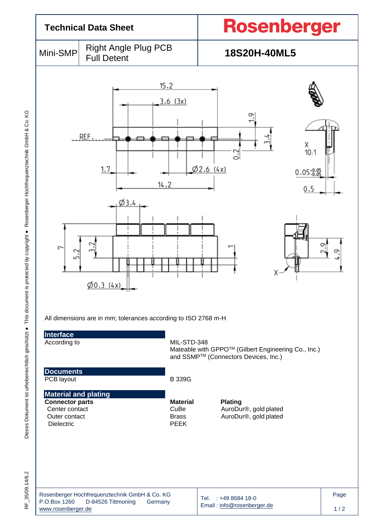|                                                                                                               | <b>Technical Data Sheet</b>                                                                                                                                                                                                           | Rosenberger                                                                                 |             |  |  |  |  |
|---------------------------------------------------------------------------------------------------------------|---------------------------------------------------------------------------------------------------------------------------------------------------------------------------------------------------------------------------------------|---------------------------------------------------------------------------------------------|-------------|--|--|--|--|
| Mini-SMP                                                                                                      | <b>Right Angle Plug PCB</b><br><b>Full Detent</b>                                                                                                                                                                                     | 18S20H-40ML5                                                                                |             |  |  |  |  |
| ſ<br>⌒<br>Interface<br>According to                                                                           | 15.2<br>3.6(3x)<br>$\frac{9}{11}$<br>REF.<br>بر<br>3.4<br>X<br>10:1<br>31<br>62.6 (4x)<br>1.7<br>0.05:8.05<br>14.2<br>0.5<br>Ø3.4<br>ᡡ<br>X<br>$\emptyset$ 0.3 (4x)<br>All dimensions are in mm; tolerances according to ISO 2768 m-H |                                                                                             |             |  |  |  |  |
|                                                                                                               |                                                                                                                                                                                                                                       | Mateable with GPPO™ (Gilbert Engineering Co., Inc.)<br>and SSMP™ (Connectors Devices, Inc.) |             |  |  |  |  |
| <b>Documents</b><br>PCB layout                                                                                | <b>B339G</b>                                                                                                                                                                                                                          |                                                                                             |             |  |  |  |  |
| <b>Material and plating</b><br><b>Connector parts</b><br>Center contact<br>Outer contact<br><b>Dielectric</b> | <b>Material</b><br>CuBe<br><b>Brass</b><br><b>PEEK</b>                                                                                                                                                                                | <b>Plating</b><br>AuroDur®, gold plated<br>AuroDur®, gold plated                            |             |  |  |  |  |
| P.O.Box 1260<br>www.rosenberger.de                                                                            | Rosenberger Hochfrequenztechnik GmbH & Co. KG<br>D-84526 Tittmoning<br>Germany                                                                                                                                                        | Tel. : +49 8684 18-0<br>Email: info@rosenberger.de                                          | Page<br>1/2 |  |  |  |  |

RF\_35/09.14/6.2